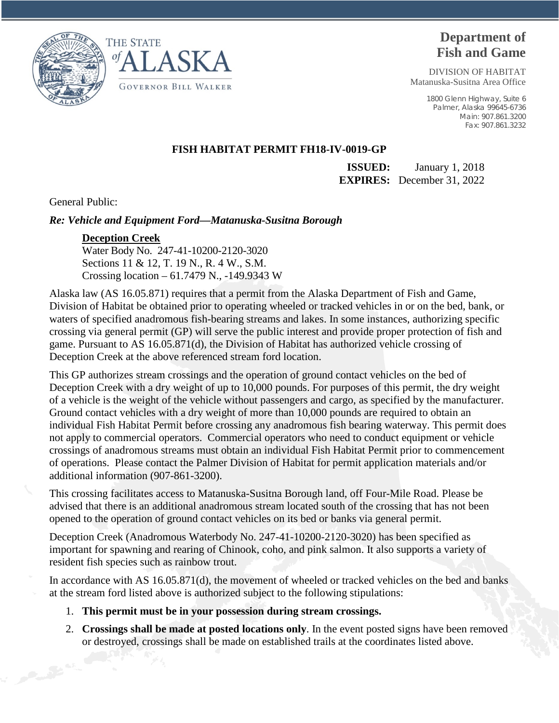



# **Department of Fish and Game**

DIVISION OF HABITAT Matanuska-Susitna Area Office

> 1800 Glenn Highway, Suite 6 Palmer, Alaska 99645-6736 Main: 907.861.3200 Fax: 907.861.3232

## **FISH HABITAT PERMIT FH18-IV-0019-GP**

**ISSUED:** January 1, 2018 **EXPIRES:** December 31, 2022

General Public:

## *Re: Vehicle and Equipment Ford—Matanuska-Susitna Borough*

### **Deception Creek**

Water Body No. 247-41-10200-2120-3020 Sections 11 & 12, T. 19 N., R. 4 W., S.M. Crossing location – 61.7479 N., -149.9343 W

Alaska law (AS 16.05.871) requires that a permit from the Alaska Department of Fish and Game, Division of Habitat be obtained prior to operating wheeled or tracked vehicles in or on the bed, bank, or waters of specified anadromous fish-bearing streams and lakes. In some instances, authorizing specific crossing via general permit (GP) will serve the public interest and provide proper protection of fish and game. Pursuant to AS 16.05.871(d), the Division of Habitat has authorized vehicle crossing of Deception Creek at the above referenced stream ford location.

This GP authorizes stream crossings and the operation of ground contact vehicles on the bed of Deception Creek with a dry weight of up to 10,000 pounds. For purposes of this permit, the dry weight of a vehicle is the weight of the vehicle without passengers and cargo, as specified by the manufacturer. Ground contact vehicles with a dry weight of more than 10,000 pounds are required to obtain an individual Fish Habitat Permit before crossing any anadromous fish bearing waterway. This permit does not apply to commercial operators. Commercial operators who need to conduct equipment or vehicle crossings of anadromous streams must obtain an individual Fish Habitat Permit prior to commencement of operations. Please contact the Palmer Division of Habitat for permit application materials and/or additional information (907-861-3200).

This crossing facilitates access to Matanuska-Susitna Borough land, off Four-Mile Road. Please be advised that there is an additional anadromous stream located south of the crossing that has not been opened to the operation of ground contact vehicles on its bed or banks via general permit.

Deception Creek (Anadromous Waterbody No. 247-41-10200-2120-3020) has been specified as important for spawning and rearing of Chinook, coho, and pink salmon. It also supports a variety of resident fish species such as rainbow trout.

In accordance with AS 16.05.871(d), the movement of wheeled or tracked vehicles on the bed and banks at the stream ford listed above is authorized subject to the following stipulations:

- 1. **This permit must be in your possession during stream crossings.**
- 2. **Crossings shall be made at posted locations only**. In the event posted signs have been removed or destroyed, crossings shall be made on established trails at the coordinates listed above.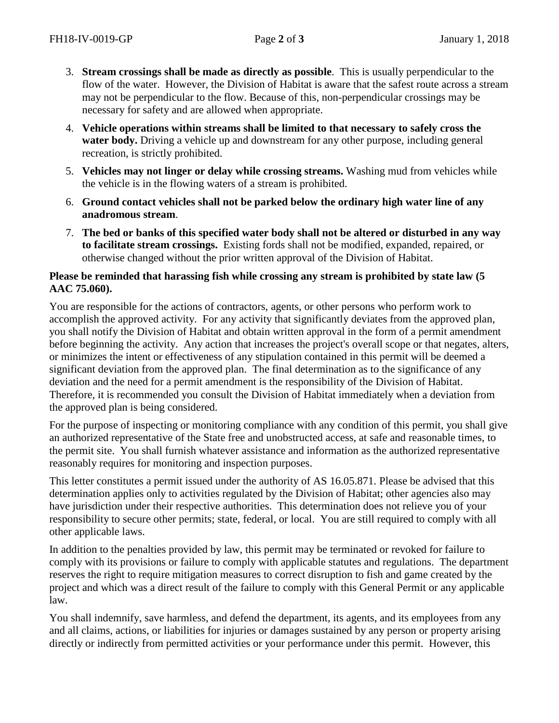- 3. **Stream crossings shall be made as directly as possible**. This is usually perpendicular to the flow of the water. However, the Division of Habitat is aware that the safest route across a stream may not be perpendicular to the flow. Because of this, non-perpendicular crossings may be necessary for safety and are allowed when appropriate.
- 4. **Vehicle operations within streams shall be limited to that necessary to safely cross the water body.** Driving a vehicle up and downstream for any other purpose, including general recreation, is strictly prohibited.
- 5. **Vehicles may not linger or delay while crossing streams.** Washing mud from vehicles while the vehicle is in the flowing waters of a stream is prohibited.
- 6. **Ground contact vehicles shall not be parked below the ordinary high water line of any anadromous stream**.
- 7. **The bed or banks of this specified water body shall not be altered or disturbed in any way to facilitate stream crossings.** Existing fords shall not be modified, expanded, repaired, or otherwise changed without the prior written approval of the Division of Habitat.

## **Please be reminded that harassing fish while crossing any stream is prohibited by state law (5 AAC 75.060).**

You are responsible for the actions of contractors, agents, or other persons who perform work to accomplish the approved activity. For any activity that significantly deviates from the approved plan, you shall notify the Division of Habitat and obtain written approval in the form of a permit amendment before beginning the activity. Any action that increases the project's overall scope or that negates, alters, or minimizes the intent or effectiveness of any stipulation contained in this permit will be deemed a significant deviation from the approved plan. The final determination as to the significance of any deviation and the need for a permit amendment is the responsibility of the Division of Habitat. Therefore, it is recommended you consult the Division of Habitat immediately when a deviation from the approved plan is being considered.

For the purpose of inspecting or monitoring compliance with any condition of this permit, you shall give an authorized representative of the State free and unobstructed access, at safe and reasonable times, to the permit site. You shall furnish whatever assistance and information as the authorized representative reasonably requires for monitoring and inspection purposes.

This letter constitutes a permit issued under the authority of AS 16.05.871. Please be advised that this determination applies only to activities regulated by the Division of Habitat; other agencies also may have jurisdiction under their respective authorities. This determination does not relieve you of your responsibility to secure other permits; state, federal, or local. You are still required to comply with all other applicable laws.

In addition to the penalties provided by law, this permit may be terminated or revoked for failure to comply with its provisions or failure to comply with applicable statutes and regulations. The department reserves the right to require mitigation measures to correct disruption to fish and game created by the project and which was a direct result of the failure to comply with this General Permit or any applicable law.

You shall indemnify, save harmless, and defend the department, its agents, and its employees from any and all claims, actions, or liabilities for injuries or damages sustained by any person or property arising directly or indirectly from permitted activities or your performance under this permit. However, this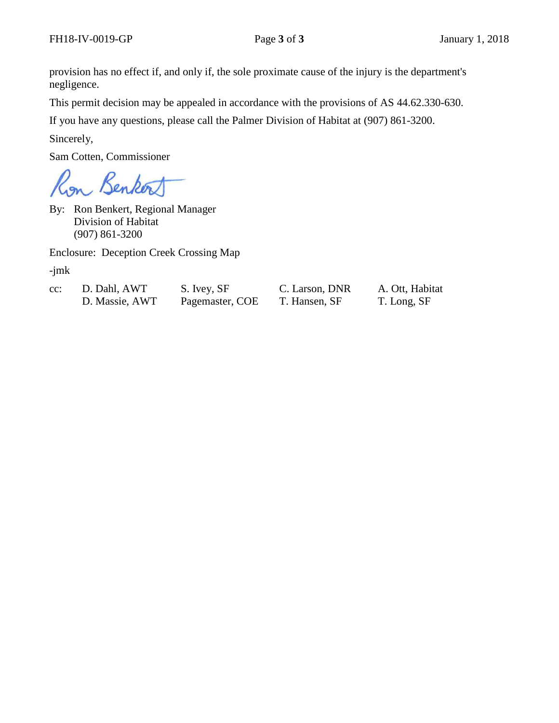provision has no effect if, and only if, the sole proximate cause of the injury is the department's negligence.

This permit decision may be appealed in accordance with the provisions of AS 44.62.330-630.

If you have any questions, please call the Palmer Division of Habitat at (907) 861-3200.

Sincerely,

Sam Cotten, Commissioner

on Benkert

By: Ron Benkert, Regional Manager Division of Habitat (907) 861-3200

Enclosure: Deception Creek Crossing Map

-jmk

| $cc$ : | D. Dahl, AWT   | S. Ivey, SF     |
|--------|----------------|-----------------|
|        | D. Massie, AWT | Pagemaster, COI |

C. Larson, DNR A. Ott, Habitat E T. Hansen, SF T. Long, SF